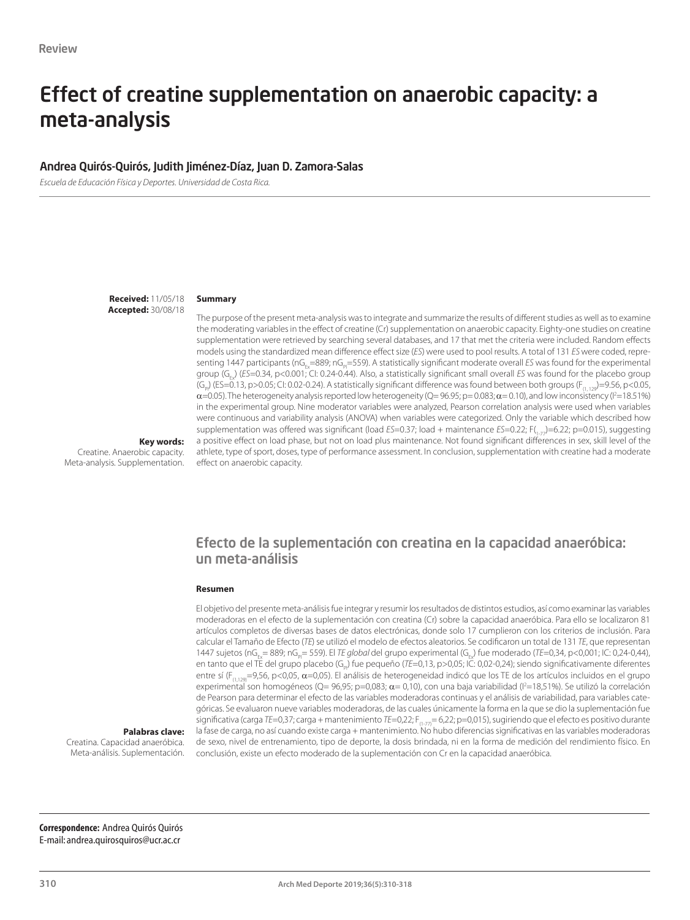# Effect of creatine supplementation on anaerobic capacity: a meta-analysis

#### Andrea Quirós-Quirós, Judith Jiménez-Díaz, Juan D. Zamora-Salas

*Escuela de Educación Física y Deportes. Universidad de Costa Rica.*

**Received:** 11/05/18 **Accepted:** 30/08/18

#### **Summary**

The purpose of the present meta-analysis was to integrate and summarize the results of different studies as well as to examine the moderating variables in the effect of creatine (Cr) supplementation on anaerobic capacity. Eighty-one studies on creatine supplementation were retrieved by searching several databases, and 17 that met the criteria were included. Random effects models using the standardized mean difference effect size (*ES*) were used to pool results. A total of 131 *ES* were coded, representing 1447 participants (nG<sub>E</sub>=889; nG<sub>R</sub>=559). A statistically significant moderate overall *ES* was found for the experimental group (G<sub>Ex</sub>) (*ES*=0.34, p<0.001; CI: 0.24-0.44). Also, a statistically significant small overall *ES* was found for the placebo group  $(G_{p})$  (ES=0.13, p>0.05; CI: 0.02-0.24). A statistically significant difference was found between both groups ( $F_{(1, 12)}$ =9.56, p<0.05,  $\alpha$ =0.05). The heterogeneity analysis reported low heterogeneity (Q= 96.95; p= 0.083;  $\alpha$  = 0.10), and low inconsistency (I<sup>2</sup>=18.51%) in the experimental group. Nine moderator variables were analyzed, Pearson correlation analysis were used when variables were continuous and variability analysis (ANOVA) when variables were categorized. Only the variable which described how supplementation was offered was significant (load *ES*=0.37; load + maintenance *ES*=0.22; F(1, -1)=6.22; p=0.015), suggesting a positive effect on load phase, but not on load plus maintenance. Not found significant differences in sex, skill level of the athlete, type of sport, doses, type of performance assessment. In conclusion, supplementation with creatine had a moderate effect on anaerobic capacity.

**Key words:** 

Creatine. Anaerobic capacity. Meta-analysis. Supplementation.

## Efecto de la suplementación con creatina en la capacidad anaeróbica: un meta-análisis

#### **Resumen**

El objetivo del presente meta-análisis fue integrar y resumir los resultados de distintos estudios, así como examinar las variables moderadoras en el efecto de la suplementación con creatina (Cr) sobre la capacidad anaeróbica. Para ello se localizaron 81 artículos completos de diversas bases de datos electrónicas, donde solo 17 cumplieron con los criterios de inclusión. Para calcular el Tamaño de Efecto (*TE*) se utilizó el modelo de efectos aleatorios. Se codificaron un total de 131 *TE*, que representan 1447 sujetos (nG<sub>Ex</sub>= 889; nG<sub>n</sub>= 559). El TE global del grupo experimental (G<sub>Ex</sub>) fue moderado (TE=0,34, p<0,001; IC: 0,24-0,44), en tanto que el TE del grupo placebo (G<sub>P</sub>) fue pequeño (*TE*=0,13, p>0,05; IC: 0,02-0,24); siendo significativamente diferentes entre sí (F<sub>(1,129)</sub>=9,56, p<0,05,  $\alpha$ =0,05). El análisis de heterogeneidad indicó que los TE de los artículos incluidos en el grupo experimental son homogéneos (Q= 96,95; p=0,083;  $\alpha$ = 0,10), con una baja variabilidad ( $l^2$ =18,51%). Se utilizó la correlación de Pearson para determinar el efecto de las variables moderadoras continuas y el análisis de variabilidad, para variables categóricas. Se evaluaron nueve variables moderadoras, de las cuales únicamente la forma en la que se dio la suplementación fue significativa (carga *TE*=0,37; carga + mantenimiento *TE*=0,22; F<sub>(1-77</sub>)= 6,22; p=0,015), sugiriendo que el efecto es positivo durante la fase de carga, no así cuando existe carga + mantenimiento. No hubo diferencias significativas en las variables moderadoras de sexo, nivel de entrenamiento, tipo de deporte, la dosis brindada, ni en la forma de medición del rendimiento físico. En conclusión, existe un efecto moderado de la suplementación con Cr en la capacidad anaeróbica.

**Palabras clave:** 

Creatina. Capacidad anaeróbica. Meta-análisis. Suplementación.

**Correspondence:** Andrea Quirós Quirós E-mail: andrea.quirosquiros@ucr.ac.cr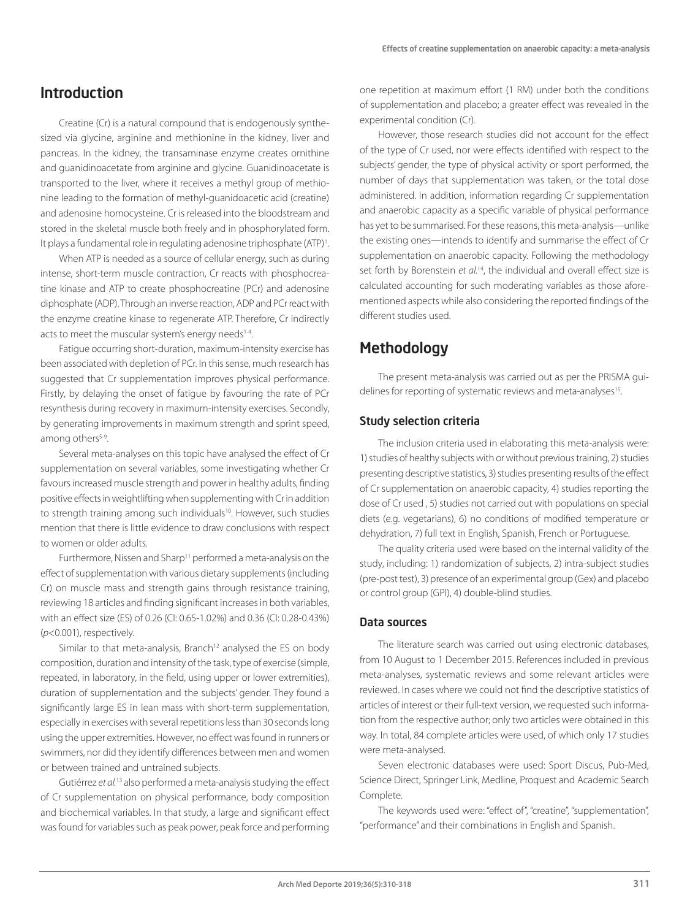## Introduction

Creatine (Cr) is a natural compound that is endogenously synthesized via glycine, arginine and methionine in the kidney, liver and pancreas. In the kidney, the transaminase enzyme creates ornithine and guanidinoacetate from arginine and glycine. Guanidinoacetate is transported to the liver, where it receives a methyl group of methionine leading to the formation of methyl-guanidoacetic acid (creatine) and adenosine homocysteine. Cr is released into the bloodstream and stored in the skeletal muscle both freely and in phosphorylated form. It plays a fundamental role in regulating adenosine triphosphate (ATP)<sup>1</sup>. .

When ATP is needed as a source of cellular energy, such as during intense, short-term muscle contraction, Cr reacts with phosphocreatine kinase and ATP to create phosphocreatine (PCr) and adenosine diphosphate (ADP). Through an inverse reaction, ADP and PCr react with the enzyme creatine kinase to regenerate ATP. Therefore, Cr indirectly acts to meet the muscular system's energy needs<sup>1-4</sup>.

Fatigue occurring short-duration, maximum-intensity exercise has been associated with depletion of PCr. In this sense, much research has suggested that Cr supplementation improves physical performance. Firstly, by delaying the onset of fatigue by favouring the rate of PCr resynthesis during recovery in maximum-intensity exercises. Secondly, by generating improvements in maximum strength and sprint speed, among others<sup>5-9</sup>.

Several meta-analyses on this topic have analysed the effect of Cr supplementation on several variables, some investigating whether Cr favours increased muscle strength and power in healthy adults, finding positive effects in weightlifting when supplementing with Cr in addition to strength training among such individuals<sup>10</sup>. However, such studies mention that there is little evidence to draw conclusions with respect to women or older adults.

Furthermore, Nissen and Sharp<sup>11</sup> performed a meta-analysis on the effect of supplementation with various dietary supplements (including Cr) on muscle mass and strength gains through resistance training, reviewing 18 articles and finding significant increases in both variables, with an effect size (ES) of 0.26 (CI: 0.65-1.02%) and 0.36 (CI: 0.28-0.43%) (*p*<0.001), respectively.

Similar to that meta-analysis, Branch<sup>12</sup> analysed the ES on body composition, duration and intensity of the task, type of exercise (simple, repeated, in laboratory, in the field, using upper or lower extremities), duration of supplementation and the subjects' gender. They found a significantly large ES in lean mass with short-term supplementation, especially in exercises with several repetitions less than 30 seconds long using the upper extremities. However, no effect was found in runners or swimmers, nor did they identify differences between men and women or between trained and untrained subjects.

Gutiérrez *et al.*13 also performed a meta-analysis studying the effect of Cr supplementation on physical performance, body composition and biochemical variables. In that study, a large and significant effect was found for variables such as peak power, peak force and performing one repetition at maximum effort (1 RM) under both the conditions of supplementation and placebo; a greater effect was revealed in the experimental condition (Cr).

However, those research studies did not account for the effect of the type of Cr used, nor were effects identified with respect to the subjects' gender, the type of physical activity or sport performed, the number of days that supplementation was taken, or the total dose administered. In addition, information regarding Cr supplementation and anaerobic capacity as a specific variable of physical performance has yet to be summarised. For these reasons, this meta-analysis—unlike the existing ones—intends to identify and summarise the effect of Cr supplementation on anaerobic capacity. Following the methodology set forth by Borenstein *et al.*14, the individual and overall effect size is calculated accounting for such moderating variables as those aforementioned aspects while also considering the reported findings of the different studies used.

## **Methodology**

The present meta-analysis was carried out as per the PRISMA guidelines for reporting of systematic reviews and meta-analyses<sup>15</sup>.

### Study selection criteria

The inclusion criteria used in elaborating this meta-analysis were: 1) studies of healthy subjects with or without previous training, 2) studies presenting descriptive statistics, 3) studies presenting results of the effect of Cr supplementation on anaerobic capacity, 4) studies reporting the dose of Cr used , 5) studies not carried out with populations on special diets (e.g. vegetarians), 6) no conditions of modified temperature or dehydration, 7) full text in English, Spanish, French or Portuguese.

The quality criteria used were based on the internal validity of the study, including: 1) randomization of subjects, 2) intra-subject studies (pre-post test), 3) presence of an experimental group (Gex) and placebo or control group (GPl), 4) double-blind studies.

#### Data sources

The literature search was carried out using electronic databases, from 10 August to 1 December 2015. References included in previous meta-analyses, systematic reviews and some relevant articles were reviewed. In cases where we could not find the descriptive statistics of articles of interest or their full-text version, we requested such information from the respective author; only two articles were obtained in this way. In total, 84 complete articles were used, of which only 17 studies were meta-analysed.

Seven electronic databases were used: Sport Discus, Pub-Med, Science Direct, Springer Link, Medline, Proquest and Academic Search Complete.

The keywords used were: "effect of", "creatine", "supplementation", "performance" and their combinations in English and Spanish.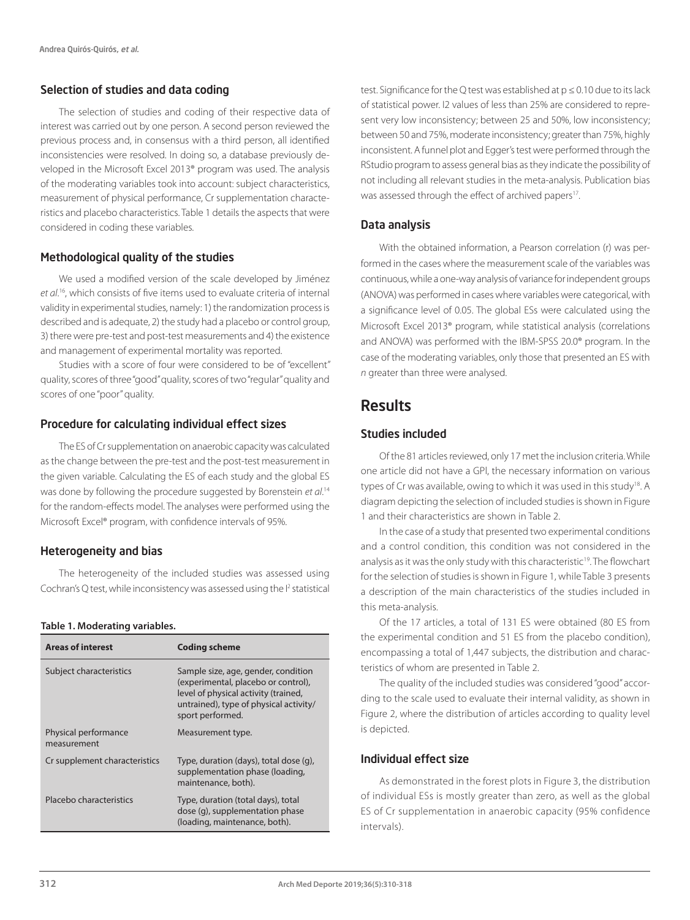## Selection of studies and data coding

The selection of studies and coding of their respective data of interest was carried out by one person. A second person reviewed the previous process and, in consensus with a third person, all identified inconsistencies were resolved. In doing so, a database previously developed in the Microsoft Excel 2013® program was used. The analysis of the moderating variables took into account: subject characteristics, measurement of physical performance, Cr supplementation characteristics and placebo characteristics. Table 1 details the aspects that were considered in coding these variables.

## Methodological quality of the studies

We used a modified version of the scale developed by Jiménez *et al*. 16, which consists of five items used to evaluate criteria of internal validity in experimental studies, namely: 1) the randomization process is described and is adequate, 2) the study had a placebo or control group, 3) there were pre-test and post-test measurements and 4) the existence and management of experimental mortality was reported.

Studies with a score of four were considered to be of "excellent" quality, scores of three "good" quality, scores of two "regular" quality and scores of one "poor" quality.

## Procedure for calculating individual effect sizes

The ES of Cr supplementation on anaerobic capacity was calculated as the change between the pre-test and the post-test measurement in the given variable. Calculating the ES of each study and the global ES was done by following the procedure suggested by Borenstein *et al*. 14 for the random-effects model. The analyses were performed using the Microsoft Excel® program, with confidence intervals of 95%.

### Heterogeneity and bias

The heterogeneity of the included studies was assessed using Cochran's Q test, while inconsistency was assessed using the <sup>p2</sup> statistical

#### **Table 1. Moderating variables.**

| <b>Areas of interest</b>            | <b>Coding scheme</b>                                                                                                                                                             |
|-------------------------------------|----------------------------------------------------------------------------------------------------------------------------------------------------------------------------------|
| Subject characteristics             | Sample size, age, gender, condition<br>(experimental, placebo or control),<br>level of physical activity (trained,<br>untrained), type of physical activity/<br>sport performed. |
| Physical performance<br>measurement | Measurement type.                                                                                                                                                                |
| Cr supplement characteristics       | Type, duration (days), total dose (g),<br>supplementation phase (loading,<br>maintenance, both).                                                                                 |
| Placebo characteristics             | Type, duration (total days), total<br>dose (g), supplementation phase<br>(loading, maintenance, both).                                                                           |

test. Significance for the Q test was established at p ≤ 0.10 due to its lack of statistical power. I2 values of less than 25% are considered to represent very low inconsistency; between 25 and 50%, low inconsistency; between 50 and 75%, moderate inconsistency; greater than 75%, highly inconsistent. A funnel plot and Egger's test were performed through the RStudio program to assess general bias as they indicate the possibility of not including all relevant studies in the meta-analysis. Publication bias was assessed through the effect of archived papers<sup>17</sup>.

#### Data analysis

With the obtained information, a Pearson correlation (r) was performed in the cases where the measurement scale of the variables was continuous, while a one-way analysis of variance for independent groups (ANOVA) was performed in cases where variables were categorical, with a significance level of 0.05. The global ESs were calculated using the Microsoft Excel 2013® program, while statistical analysis (correlations and ANOVA) was performed with the IBM-SPSS 20.0® program. In the case of the moderating variables, only those that presented an ES with *n* greater than three were analysed.

## Results

## Studies included

Of the 81 articles reviewed, only 17 met the inclusion criteria. While one article did not have a GPl, the necessary information on various types of Cr was available, owing to which it was used in this study<sup>18</sup>. A diagram depicting the selection of included studies is shown in Figure 1 and their characteristics are shown in Table 2.

In the case of a study that presented two experimental conditions and a control condition, this condition was not considered in the analysis as it was the only study with this characteristic<sup>19</sup>. The flowchart for the selection of studies is shown in Figure 1, while Table 3 presents a description of the main characteristics of the studies included in this meta-analysis.

Of the 17 articles, a total of 131 ES were obtained (80 ES from the experimental condition and 51 ES from the placebo condition), encompassing a total of 1,447 subjects, the distribution and characteristics of whom are presented in Table 2.

The quality of the included studies was considered "good" according to the scale used to evaluate their internal validity, as shown in Figure 2, where the distribution of articles according to quality level is depicted.

### Individual effect size

As demonstrated in the forest plots in Figure 3, the distribution of individual ESs is mostly greater than zero, as well as the global ES of Cr supplementation in anaerobic capacity (95% confidence intervals).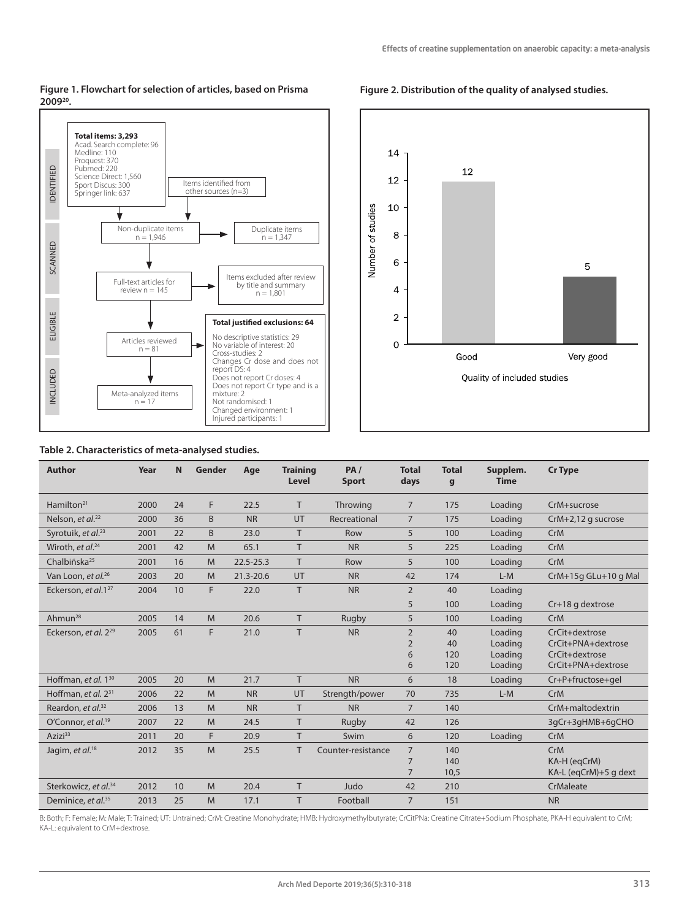#### **Figure 1. Flowchart for selection of articles, based on Prisma 200920.**





#### **Table 2. Characteristics of meta-analysed studies.**

| <b>Author</b>                    | Year | N  | Gender | Age           | <b>Training</b><br><b>Level</b> | PA/<br><b>Sport</b> | <b>Total</b><br>days | <b>Total</b><br>g | Supplem.<br><b>Time</b> | <b>Cr Type</b>        |
|----------------------------------|------|----|--------|---------------|---------------------------------|---------------------|----------------------|-------------------|-------------------------|-----------------------|
| Hamilton $21$                    | 2000 | 24 | F      | 22.5          | T.                              | Throwing            | $\overline{7}$       | 175               | Loading                 | CrM+sucrose           |
| Nelson, et al. <sup>22</sup>     | 2000 | 36 | B      | <b>NR</b>     | UT                              | Recreational        | $\overline{7}$       | 175               | Loading                 | $CrM+2,12$ g sucrose  |
| Syrotuik, et al. <sup>23</sup>   | 2001 | 22 | B      | 23.0          | T.                              | Row                 | 5                    | 100               | Loading                 | CrM                   |
| Wiroth, et al. <sup>24</sup>     | 2001 | 42 | M      | 65.1          | T.                              | <b>NR</b>           | 5                    | 225               | Loading                 | CrM                   |
| Chalbiñska <sup>25</sup>         | 2001 | 16 | M      | $22.5 - 25.3$ | T.                              | Row                 | 5                    | 100               | Loading                 | CrM                   |
| Van Loon, et al. <sup>26</sup>   | 2003 | 20 | M      | 21.3-20.6     | UT                              | <b>NR</b>           | 42                   | 174               | $L-M$                   | CrM+15g GLu+10 g Mal  |
| Eckerson, et al.127              | 2004 | 10 | F      | 22.0          | T                               | <b>NR</b>           | $\overline{2}$       | 40                | Loading                 |                       |
|                                  |      |    |        |               |                                 |                     | 5                    | 100               | Loading                 | Cr+18 g dextrose      |
| Ahmun <sup>28</sup>              | 2005 | 14 | M      | 20.6          | T.                              | Rugby               | 5                    | 100               | Loading                 | CrM                   |
| Eckerson, et al. 2 <sup>29</sup> | 2005 | 61 | F      | 21.0          | T                               | <b>NR</b>           | $\overline{2}$       | 40                | Loading                 | CrCit+dextrose        |
|                                  |      |    |        |               |                                 |                     | $\overline{2}$       | 40                | Loading                 | CrCit+PNA+dextrose    |
|                                  |      |    |        |               |                                 |                     | 6                    | 120               | Loading                 | CrCit+dextrose        |
|                                  |      |    |        |               |                                 |                     | 6                    | 120               | Loading                 | CrCit+PNA+dextrose    |
| Hoffman, et al. $1^{30}$         | 2005 | 20 | M      | 21.7          | T.                              | <b>NR</b>           | 6<br>18<br>Loading   |                   | Cr+P+fructose+gel       |                       |
| Hoffman, et al. $2^{31}$         | 2006 | 22 | M      | <b>NR</b>     | UT                              | Strength/power      | 70                   | 735               | $L-M$                   | CrM                   |
| Reardon, et al. <sup>32</sup>    | 2006 | 13 | M      | <b>NR</b>     | T.                              | <b>NR</b>           | $\overline{7}$       | 140               |                         | CrM+maltodextrin      |
| O'Connor, et al. <sup>19</sup>   | 2007 | 22 | M      | 24.5          | T                               | Rugby               | 42                   | 126               |                         | 3qCr+3qHMB+6qCHO      |
| $Azizi^{33}$                     | 2011 | 20 | F      | 20.9          | T.                              | Swim                | 6                    | 120               | Loading                 | CrM                   |
| Jagim, et al. <sup>18</sup>      | 2012 | 35 | M      | 25.5          | T                               | Counter-resistance  | $\overline{7}$       | 140               |                         | CrM                   |
|                                  |      |    |        |               |                                 |                     | $\overline{7}$       | 140               |                         | KA-H (eqCrM)          |
|                                  |      |    |        |               |                                 |                     | $\overline{7}$       | 10,5              |                         | KA-L (eqCrM)+5 g dext |
| Sterkowicz, et al. <sup>34</sup> | 2012 | 10 | M      | 20.4          | T.                              | Judo                | 42                   | 210               |                         | CrMaleate             |
| Deminice, et al. <sup>35</sup>   | 2013 | 25 | M      | 17.1          | T.                              | Football            | $\overline{7}$       | 151               |                         | <b>NR</b>             |

B: Both; F: Female; M: Male; T: Trained; UT: Untrained; CrM: Creatine Monohydrate; HMB: Hydroxymethylbutyrate; CrCitPNa: Creatine Citrate+Sodium Phosphate, PKA-H equivalent to CrM; KA-L: equivalent to CrM+dextrose.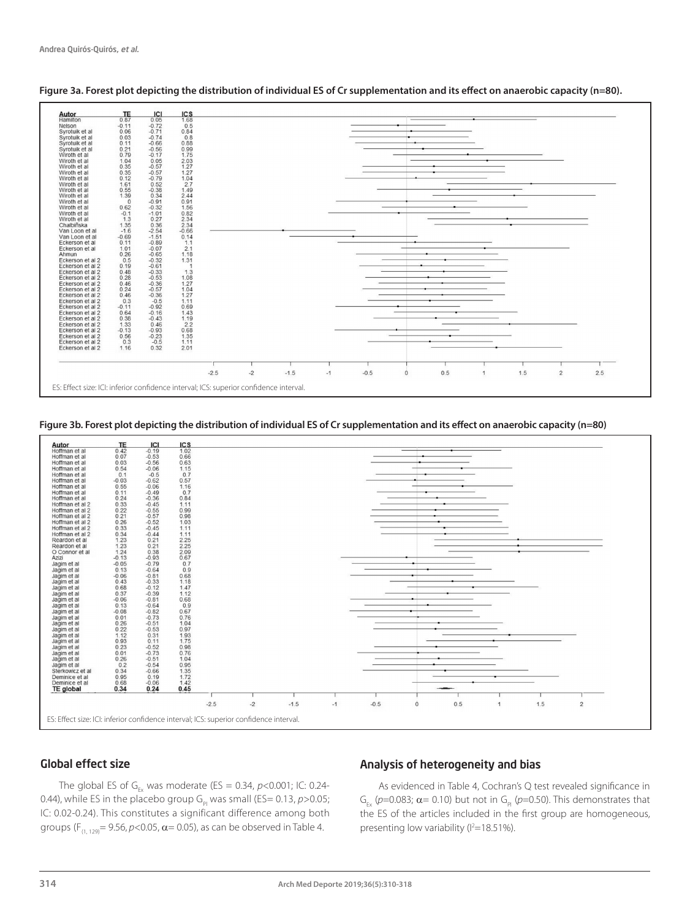

**Figure 3a. Forest plot depicting the distribution of individual ES of Cr supplementation and its effect on anaerobic capacity (n=80).**

**Figure 3b. Forest plot depicting the distribution of individual ES of Cr supplementation and its effect on anaerobic capacity (n=80)**



## Global effect size

The global ES of G<sub>Fx</sub> was moderate (ES = 0.34,  $p$ <0.001; IC: 0.24-0.44), while ES in the placebo group  $G_{\text{p}}$  was small (ES= 0.13,  $p > 0.05$ ; IC: 0.02-0.24). This constitutes a significant difference among both groups ( $F_{(1, 129)} = 9.56$ ,  $p < 0.05$ ,  $\alpha = 0.05$ ), as can be observed in Table 4.

## Analysis of heterogeneity and bias

As evidenced in Table 4, Cochran's Q test revealed significance in  $G_{\text{av}}$  ( $p$ =0.083;  $\alpha$ = 0.10) but not in  $G_{\text{av}}$  ( $p$ =0.50). This demonstrates that the ES of the articles included in the first group are homogeneous, presenting low variability ( $I^2=18.51\%$ ).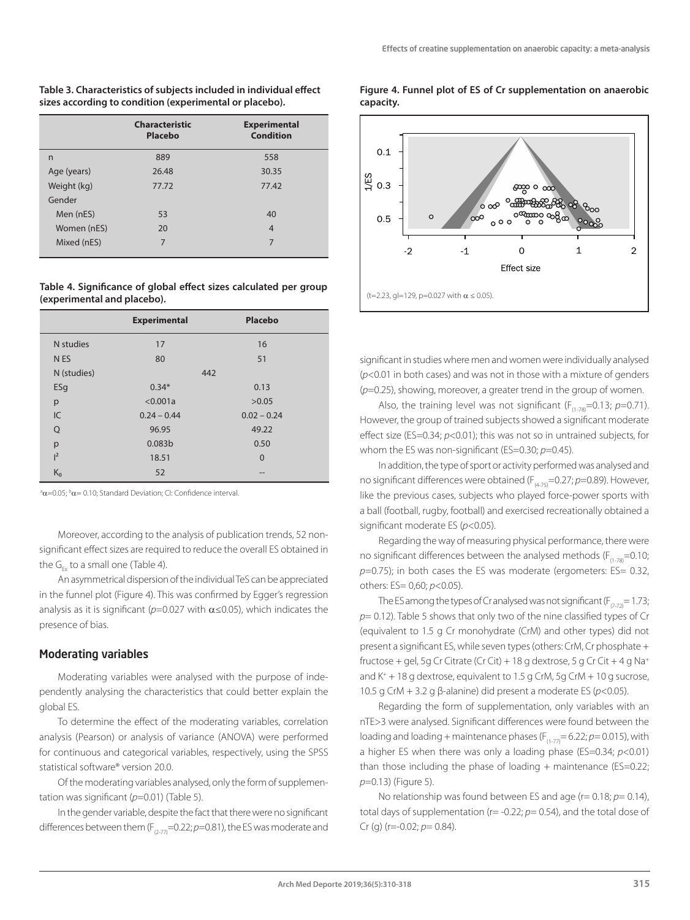#### **Table 3. Characteristics of subjects included in individual effect sizes according to condition (experimental or placebo).**

|             | <b>Characteristic</b><br>Placebo | <b>Experimental</b><br><b>Condition</b> |
|-------------|----------------------------------|-----------------------------------------|
| n           | 889                              | 558                                     |
| Age (years) | 26.48                            | 30.35                                   |
| Weight (kg) | 77.72                            | 77.42                                   |
| Gender      |                                  |                                         |
| Men (nES)   | 53                               | 40                                      |
| Women (nES) | 20                               | $\overline{4}$                          |
| Mixed (nES) | 7                                | 7                                       |

#### **Table 4. Significance of global effect sizes calculated per group (experimental and placebo).**

|                 | <b>Experimental</b> | Placebo        |
|-----------------|---------------------|----------------|
| N studies       | 17                  | 16             |
| N <sub>ES</sub> | 80                  | 51             |
| N (studies)     |                     | 442            |
| ESg             | $0.34*$             | 0.13           |
| p               | < 0.001a            | >0.05          |
| IC              | $0.24 - 0.44$       | $0.02 - 0.24$  |
| Q               | 96.95               | 49.22          |
| p               | 0.083 <sub>b</sub>  | 0.50           |
| $l^2$           | 18.51               | $\overline{0}$ |
| $K_0$           | 52                  | --             |

 $a^a$  $\alpha$ =0.05;  $b^b$  $\alpha$ =0.10; Standard Deviation; CI: Confidence interval.

Moreover, according to the analysis of publication trends, 52 nonsignificant effect sizes are required to reduce the overall ES obtained in the  $G_{ex}$  to a small one (Table 4).

An asymmetrical dispersion of the individual TeS can be appreciated in the funnel plot (Figure 4). This was confirmed by Egger's regression analysis as it is significant ( $p=0.027$  with  $\alpha \le 0.05$ ), which indicates the presence of bias.

## Moderating variables

Moderating variables were analysed with the purpose of independently analysing the characteristics that could better explain the global ES.

To determine the effect of the moderating variables, correlation analysis (Pearson) or analysis of variance (ANOVA) were performed for continuous and categorical variables, respectively, using the SPSS statistical software® version 20.0.

Of the moderating variables analysed, only the form of supplementation was significant (*p*=0.01) (Table 5).

In the gender variable, despite the fact that there were no significant differences between them  $(F_{(2-77)}=0.22; p=0.81)$ , the ES was moderate and

#### **Figure 4. Funnel plot of ES of Cr supplementation on anaerobic capacity.**



significant in studies where men and women were individually analysed (*p*<0.01 in both cases) and was not in those with a mixture of genders (*p*=0.25), showing, moreover, a greater trend in the group of women.

Also, the training level was not significant ( $F_{(1,78)}=0.13$ ;  $p=0.71$ ). However, the group of trained subjects showed a significant moderate effect size (ES=0.34; *p*<0.01); this was not so in untrained subjects, for whom the ES was non-significant (ES=0.30; *p*=0.45).

In addition, the type of sport or activity performed was analysed and no significant differences were obtained (F<sub>(4-75)</sub>=0.27; *p*=0.89). However, like the previous cases, subjects who played force-power sports with a ball (football, rugby, football) and exercised recreationally obtained a significant moderate ES (*p*<0.05).

Regarding the way of measuring physical performance, there were no significant differences between the analysed methods ( $F_{(1,78)}=0.10$ ; *p*=0.75); in both cases the ES was moderate (ergometers: ES= 0.32, others: ES= 0,60; *p*<0.05).

The ES among the types of Cr analysed was not significant ( $F_{(7,7)}= 1.73$ ; *p*= 0.12). Table 5 shows that only two of the nine classified types of Cr (equivalent to 1.5 g Cr monohydrate (CrM) and other types) did not present a significant ES, while seven types (others: CrM, Cr phosphate + fructose + gel, 5g Cr Citrate (Cr Cit) + 18 g dextrose, 5 g Cr Cit + 4 g Na+ and  $K^+$  + 18 g dextrose, equivalent to 1.5 g CrM, 5g CrM + 10 g sucrose, 10.5 g CrM + 3.2 g β-alanine) did present a moderate ES (*p*<0.05).

Regarding the form of supplementation, only variables with an nTE>3 were analysed. Significant differences were found between the loading and loading + maintenance phases  $(F_{(1-7)}= 6.22; p= 0.015)$ , with a higher ES when there was only a loading phase (ES=0.34; *p*<0.01) than those including the phase of loading  $+$  maintenance (ES=0.22; *p*=0.13) (Figure 5).

No relationship was found between ES and age (r= 0.18; *p*= 0.14), total days of supplementation (r= -0.22; *p*= 0.54), and the total dose of Cr (g) (r=-0.02; *p*= 0.84).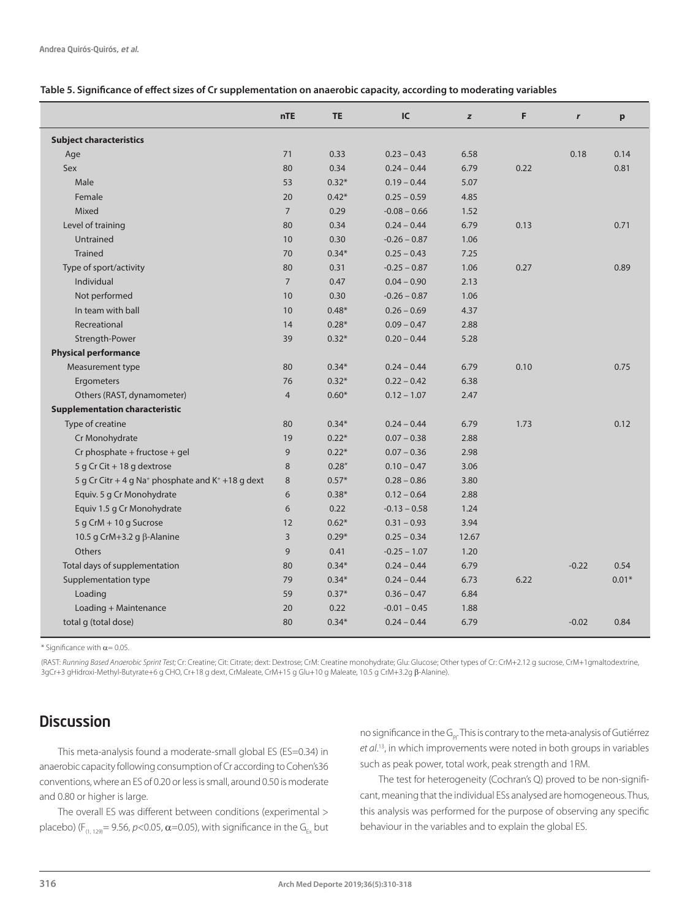#### **Table 5. Significance of effect sizes of Cr supplementation on anaerobic capacity, according to moderating variables**

|                                                                           | <b>nTE</b>     | <b>TE</b> | IC             | z     | F    | r       | p       |
|---------------------------------------------------------------------------|----------------|-----------|----------------|-------|------|---------|---------|
| <b>Subject characteristics</b>                                            |                |           |                |       |      |         |         |
| Age                                                                       | 71             | 0.33      | $0.23 - 0.43$  | 6.58  |      | 0.18    | 0.14    |
| Sex                                                                       | 80             | 0.34      | $0.24 - 0.44$  | 6.79  | 0.22 |         | 0.81    |
| Male                                                                      | 53             | $0.32*$   | $0.19 - 0.44$  | 5.07  |      |         |         |
| Female                                                                    | 20             | $0.42*$   | $0.25 - 0.59$  | 4.85  |      |         |         |
| Mixed                                                                     | $\overline{7}$ | 0.29      | $-0.08 - 0.66$ | 1.52  |      |         |         |
| Level of training                                                         | 80             | 0.34      | $0.24 - 0.44$  | 6.79  | 0.13 |         | 0.71    |
| Untrained                                                                 | 10             | 0.30      | $-0.26 - 0.87$ | 1.06  |      |         |         |
| <b>Trained</b>                                                            | 70             | $0.34*$   | $0.25 - 0.43$  | 7.25  |      |         |         |
| Type of sport/activity                                                    | 80             | 0.31      | $-0.25 - 0.87$ | 1.06  | 0.27 |         | 0.89    |
| Individual                                                                | $\overline{7}$ | 0.47      | $0.04 - 0.90$  | 2.13  |      |         |         |
| Not performed                                                             | 10             | 0.30      | $-0.26 - 0.87$ | 1.06  |      |         |         |
| In team with ball                                                         | 10             | $0.48*$   | $0.26 - 0.69$  | 4.37  |      |         |         |
| Recreational                                                              | 14             | $0.28*$   | $0.09 - 0.47$  | 2.88  |      |         |         |
| Strength-Power                                                            | 39             | $0.32*$   | $0.20 - 0.44$  | 5.28  |      |         |         |
| <b>Physical performance</b>                                               |                |           |                |       |      |         |         |
| Measurement type                                                          | 80             | $0.34*$   | $0.24 - 0.44$  | 6.79  | 0.10 |         | 0.75    |
| Ergometers                                                                | 76             | $0.32*$   | $0.22 - 0.42$  | 6.38  |      |         |         |
| Others (RAST, dynamometer)                                                | $\overline{4}$ | $0.60*$   | $0.12 - 1.07$  | 2.47  |      |         |         |
| <b>Supplementation characteristic</b>                                     |                |           |                |       |      |         |         |
| Type of creatine                                                          | 80             | $0.34*$   | $0.24 - 0.44$  | 6.79  | 1.73 |         | 0.12    |
| Cr Monohydrate                                                            | 19             | $0.22*$   | $0.07 - 0.38$  | 2.88  |      |         |         |
| Cr phosphate + fructose + gel                                             | 9              | $0.22*$   | $0.07 - 0.36$  | 2.98  |      |         |         |
| 5 g Cr Cit + 18 g dextrose                                                | 8              | 0.28''    | $0.10 - 0.47$  | 3.06  |      |         |         |
| 5 g Cr Citr + 4 g Na <sup>+</sup> phosphate and K <sup>+</sup> +18 g dext | 8              | $0.57*$   | $0.28 - 0.86$  | 3.80  |      |         |         |
| Equiv. 5 g Cr Monohydrate                                                 | 6              | $0.38*$   | $0.12 - 0.64$  | 2.88  |      |         |         |
| Equiv 1.5 g Cr Monohydrate                                                | 6              | 0.22      | $-0.13 - 0.58$ | 1.24  |      |         |         |
| 5 g CrM + 10 g Sucrose                                                    | 12             | $0.62*$   | $0.31 - 0.93$  | 3.94  |      |         |         |
| 10.5 g CrM+3.2 g $\beta$ -Alanine                                         | 3              | $0.29*$   | $0.25 - 0.34$  | 12.67 |      |         |         |
| Others                                                                    | 9              | 0.41      | $-0.25 - 1.07$ | 1.20  |      |         |         |
| Total days of supplementation                                             | 80             | $0.34*$   | $0.24 - 0.44$  | 6.79  |      | $-0.22$ | 0.54    |
| Supplementation type                                                      | 79             | $0.34*$   | $0.24 - 0.44$  | 6.73  | 6.22 |         | $0.01*$ |
| Loading                                                                   | 59             | $0.37*$   | $0.36 - 0.47$  | 6.84  |      |         |         |
| Loading + Maintenance                                                     | 20             | 0.22      | $-0.01 - 0.45$ | 1.88  |      |         |         |
| total g (total dose)                                                      | 80             | $0.34*$   | $0.24 - 0.44$  | 6.79  |      | $-0.02$ | 0.84    |

\* Significance with  $\alpha$  = 0.05.

(RAST: *Running Based Anaerobic Sprint Test;* Cr: Creatine; Cit: Citrate; dext: Dextrose; CrM: Creatine monohydrate; Glu: Glucose; Other types of Cr: CrM+2.12 g sucrose, CrM+1gmaltodextrine, 3gCr+3 gHidroxi-Methyl-Butyrate+6 g CHO, Cr+18 g dext, CrMaleate, CrM+15 g Glu+10 g Maleate, 10.5 g CrM+3.2g β-Alanine).

## **Discussion**

This meta-analysis found a moderate-small global ES (ES=0.34) in anaerobic capacity following consumption of Cr according to Cohen's36 conventions, where an ES of 0.20 or less is small, around 0.50 is moderate and 0.80 or higher is large.

The overall ES was different between conditions (experimental > placebo) (F<sub>(1, 129</sub>) = 9.56, *p*<0.05, **α** = 0.05), with significance in the G<sub>Ex</sub> but no significance in the G<sub>PI</sub>. This is contrary to the meta-analysis of Gutiérrez *et al*. 13, in which improvements were noted in both groups in variables such as peak power, total work, peak strength and 1RM.

The test for heterogeneity (Cochran's Q) proved to be non-significant, meaning that the individual ESs analysed are homogeneous. Thus, this analysis was performed for the purpose of observing any specific behaviour in the variables and to explain the global ES.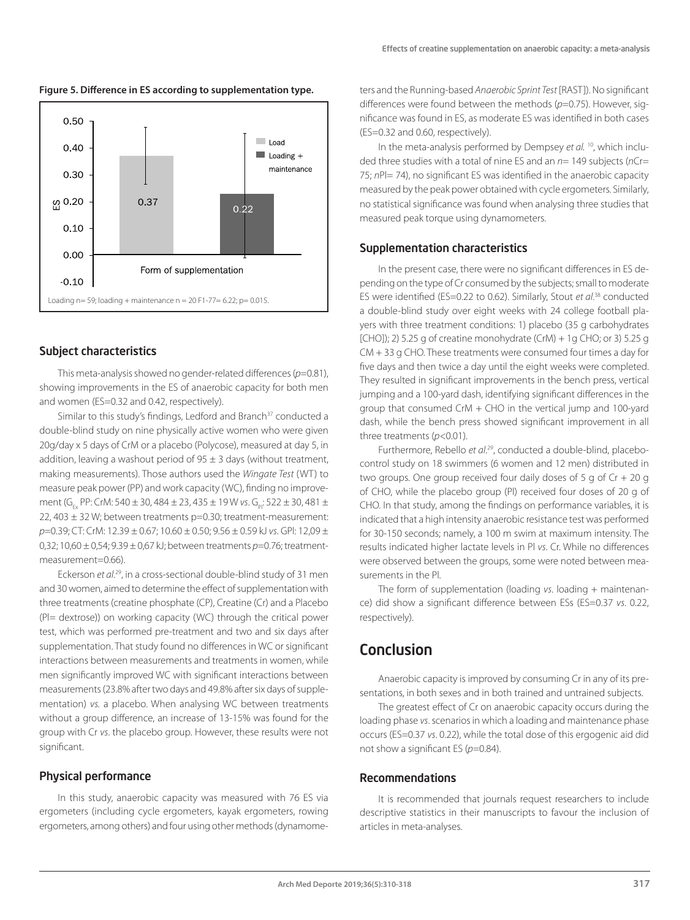

#### **Figure 5. Difference in ES according to supplementation type.**

### Subject characteristics

This meta-analysis showed no gender-related differences (*p*=0.81), showing improvements in the ES of anaerobic capacity for both men and women (ES=0.32 and 0.42, respectively).

Similar to this study's findings, Ledford and Branch<sup>37</sup> conducted a double-blind study on nine physically active women who were given 20g/day x 5 days of CrM or a placebo (Polycose), measured at day 5, in addition, leaving a washout period of  $95 \pm 3$  days (without treatment, making measurements). Those authors used the *Wingate Test* (WT) to measure peak power (PP) and work capacity (WC), finding no improvement (G<sub>Ex</sub> PP: CrM: 540 ± 30, 484 ± 23, 435 ± 19 W vs. G<sub>p</sub>: 522 ± 30, 481 ± 22, 403  $\pm$  32 W; between treatments p=0.30; treatment-measurement: *p*=0.39; CT: CrM: 12.39 ± 0.67; 10.60 ± 0.50; 9.56 ± 0.59 kJ *vs*. GPl: 12,09 ± 0,32; 10,60 ± 0,54; 9.39 ± 0,67 kJ; between treatments *p*=0.76; treatmentmeasurement=0.66).

Eckerson *et al*. 29, in a cross-sectional double-blind study of 31 men and 30 women, aimed to determine the effect of supplementation with three treatments (creatine phosphate (CP), Creatine (Cr) and a Placebo (Pl= dextrose)) on working capacity (WC) through the critical power test, which was performed pre-treatment and two and six days after supplementation. That study found no differences in WC or significant interactions between measurements and treatments in women, while men significantly improved WC with significant interactions between measurements (23.8% after two days and 49.8% after six days of supplementation) *vs.* a placebo. When analysing WC between treatments without a group difference, an increase of 13-15% was found for the group with Cr *vs*. the placebo group. However, these results were not significant.

#### Physical performance

In this study, anaerobic capacity was measured with 76 ES via ergometers (including cycle ergometers, kayak ergometers, rowing ergometers, among others) and four using other methods (dynamometers and the Running-based *Anaerobic Sprint Test* [RAST]). No significant differences were found between the methods (*p*=0.75). However, significance was found in ES, as moderate ES was identified in both cases (ES=0.32 and 0.60, respectively).

In the meta-analysis performed by Dempsey *et al.* <sup>10</sup>, which included three studies with a total of nine ES and an *n*= 149 subjects (*n*Cr= 75; *n*Pl= 74), no significant ES was identified in the anaerobic capacity measured by the peak power obtained with cycle ergometers. Similarly, no statistical significance was found when analysing three studies that measured peak torque using dynamometers.

#### Supplementation characteristics

In the present case, there were no significant differences in ES depending on the type of Cr consumed by the subjects; small to moderate ES were identified (ES=0.22 to 0.62). Similarly, Stout *et al*. 38 conducted a double-blind study over eight weeks with 24 college football players with three treatment conditions: 1) placebo (35 g carbohydrates [CHO]); 2) 5.25 g of creatine monohydrate (CrM) + 1g CHO; or 3) 5.25 g CM + 33 g CHO. These treatments were consumed four times a day for five days and then twice a day until the eight weeks were completed. They resulted in significant improvements in the bench press, vertical jumping and a 100-yard dash, identifying significant differences in the group that consumed CrM + CHO in the vertical jump and 100-yard dash, while the bench press showed significant improvement in all three treatments (*p*<0.01).

Furthermore, Rebello *et al*. 29, conducted a double-blind, placebocontrol study on 18 swimmers (6 women and 12 men) distributed in two groups. One group received four daily doses of 5 g of Cr + 20 g of CHO, while the placebo group (Pl) received four doses of 20 g of CHO. In that study, among the findings on performance variables, it is indicated that a high intensity anaerobic resistance test was performed for 30-150 seconds; namely, a 100 m swim at maximum intensity. The results indicated higher lactate levels in Pl *vs*. Cr. While no differences were observed between the groups, some were noted between measurements in the Pl.

The form of supplementation (loading *vs*. loading + maintenance) did show a significant difference between ESs (ES=0.37 *vs*. 0.22, respectively).

## Conclusion

Anaerobic capacity is improved by consuming Cr in any of its presentations, in both sexes and in both trained and untrained subjects.

The greatest effect of Cr on anaerobic capacity occurs during the loading phase *vs*. scenarios in which a loading and maintenance phase occurs (ES=0.37 *vs*. 0.22), while the total dose of this ergogenic aid did not show a significant ES (*p*=0.84).

#### Recommendations

It is recommended that journals request researchers to include descriptive statistics in their manuscripts to favour the inclusion of articles in meta-analyses.